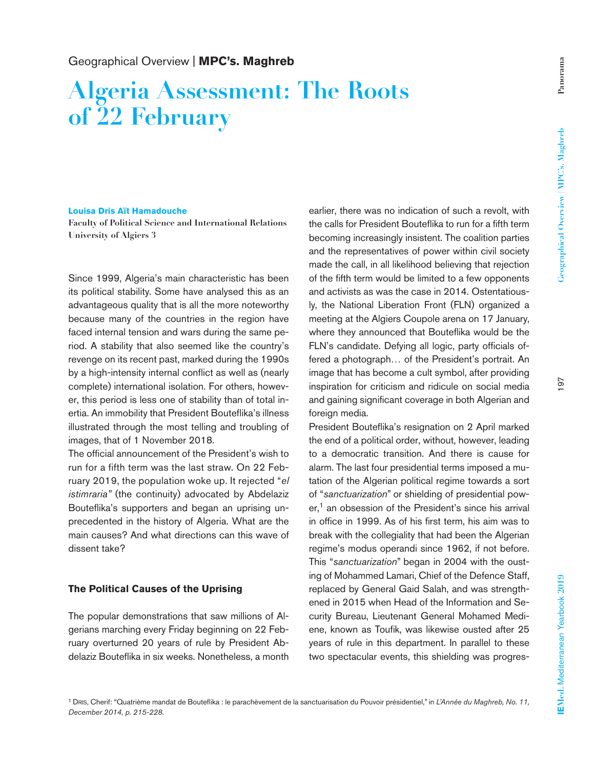# **Algeria Assessment: The Roots of 22 February**

#### **Louisa Dris Aït Hamadouche**

**Faculty of Political Science and International Relations University of Algiers 3** 

Since 1999, Algeria's main characteristic has been its political stability. Some have analysed this as an advantageous quality that is all the more noteworthy because many of the countries in the region have faced internal tension and wars during the same period. A stability that also seemed like the country's revenge on its recent past, marked during the 1990s by a high-intensity internal conflict as well as (nearly complete) international isolation. For others, however, this period is less one of stability than of total inertia. An immobility that President Bouteflika's illness illustrated through the most telling and troubling of images, that of 1 November 2018.

The official announcement of the President's wish to run for a fifth term was the last straw. On 22 February 2019, the population woke up. It rejected "*el istimraria"* (the continuity) advocated by Abdelaziz Bouteflika's supporters and began an uprising unprecedented in the history of Algeria. What are the main causes? And what directions can this wave of dissent take?

## **The Political Causes of the Uprising**

The popular demonstrations that saw millions of Algerians marching every Friday beginning on 22 February overturned 20 years of rule by President Abdelaziz Bouteflika in six weeks. Nonetheless, a month earlier, there was no indication of such a revolt, with the calls for President Bouteflika to run for a fifth term becoming increasingly insistent. The coalition parties and the representatives of power within civil society made the call, in all likelihood believing that rejection of the fifth term would be limited to a few opponents and activists as was the case in 2014. Ostentatiously, the National Liberation Front (FLN) organized a meeting at the Algiers Coupole arena on 17 January, where they announced that Bouteflika would be the FLN's candidate. Defying all logic, party officials offered a photograph… of the President's portrait. An image that has become a cult symbol, after providing inspiration for criticism and ridicule on social media and gaining significant coverage in both Algerian and foreign media.

President Bouteflika's resignation on 2 April marked the end of a political order, without, however, leading to a democratic transition. And there is cause for alarm. The last four presidential terms imposed a mutation of the Algerian political regime towards a sort of "*sanctuarization*" or shielding of presidential power,<sup>1</sup> an obsession of the President's since his arrival in office in 1999. As of his first term, his aim was to break with the collegiality that had been the Algerian regime's modus operandi since 1962, if not before. This "*sanctuarization*" began in 2004 with the ousting of Mohammed Lamari, Chief of the Defence Staff, replaced by General Gaid Salah, and was strengthened in 2015 when Head of the Information and Security Bureau, Lieutenant General Mohamed Mediene, known as Toufik, was likewise ousted after 25 years of rule in this department. In parallel to these two spectacular events, this shielding was progres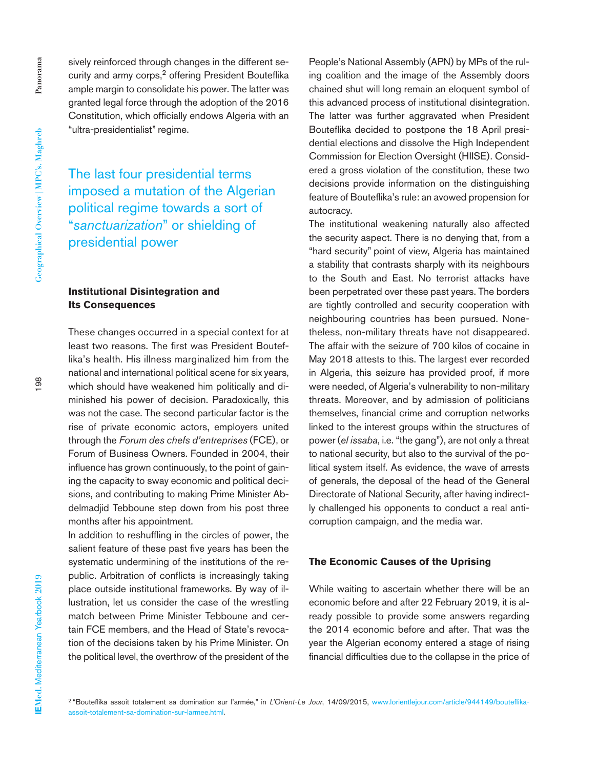sively reinforced through changes in the different security and army corps,<sup>2</sup> offering President Bouteflika ample margin to consolidate his power. The latter was granted legal force through the adoption of the 2016 Constitution, which officially endows Algeria with an "ultra-presidentialist" regime.

The last four presidential terms imposed a mutation of the Algerian political regime towards a sort of "*sanctuarization*" or shielding of presidential power

# **Institutional Disintegration and Its Consequences**

These changes occurred in a special context for at least two reasons. The first was President Bouteflika's health. His illness marginalized him from the national and international political scene for six years, which should have weakened him politically and diminished his power of decision. Paradoxically, this was not the case. The second particular factor is the rise of private economic actors, employers united through the *Forum des chefs d'entreprises* (FCE), or Forum of Business Owners. Founded in 2004, their influence has grown continuously, to the point of gaining the capacity to sway economic and political decisions, and contributing to making Prime Minister Abdelmadjid Tebboune step down from his post three months after his appointment.

In addition to reshuffling in the circles of power, the salient feature of these past five years has been the systematic undermining of the institutions of the republic. Arbitration of conflicts is increasingly taking place outside institutional frameworks. By way of illustration, let us consider the case of the wrestling match between Prime Minister Tebboune and certain FCE members, and the Head of State's revocation of the decisions taken by his Prime Minister. On the political level, the overthrow of the president of the

People's National Assembly (APN) by MPs of the ruling coalition and the image of the Assembly doors chained shut will long remain an eloquent symbol of this advanced process of institutional disintegration. The latter was further aggravated when President Bouteflika decided to postpone the 18 April presidential elections and dissolve the High Independent Commission for Election Oversight (HIISE). Considered a gross violation of the constitution, these two decisions provide information on the distinguishing feature of Bouteflika's rule: an avowed propension for autocracy.

The institutional weakening naturally also affected the security aspect. There is no denying that, from a "hard security" point of view, Algeria has maintained a stability that contrasts sharply with its neighbours to the South and East. No terrorist attacks have been perpetrated over these past years. The borders are tightly controlled and security cooperation with neighbouring countries has been pursued. Nonetheless, non-military threats have not disappeared. The affair with the seizure of 700 kilos of cocaine in May 2018 attests to this. The largest ever recorded in Algeria, this seizure has provided proof, if more were needed, of Algeria's vulnerability to non-military threats. Moreover, and by admission of politicians themselves, financial crime and corruption networks linked to the interest groups within the structures of power (*el issaba*, i.e. "the gang"), are not only a threat to national security, but also to the survival of the political system itself. As evidence, the wave of arrests of generals, the deposal of the head of the General Directorate of National Security, after having indirectly challenged his opponents to conduct a real anticorruption campaign, and the media war.

#### **The Economic Causes of the Uprising**

While waiting to ascertain whether there will be an economic before and after 22 February 2019, it is already possible to provide some answers regarding the 2014 economic before and after. That was the year the Algerian economy entered a stage of rising financial difficulties due to the collapse in the price of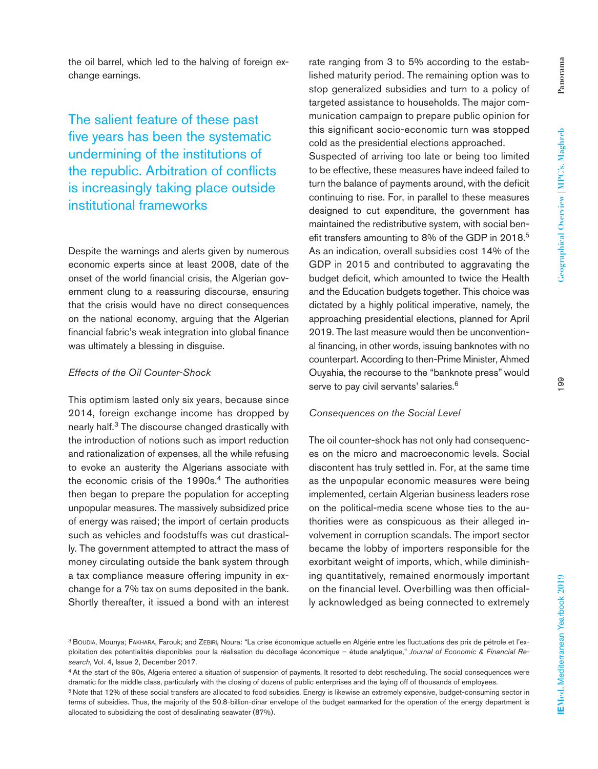the oil barrel, which led to the halving of foreign ex-

The salient feature of these past five years has been the systematic undermining of the institutions of the republic. Arbitration of conflicts is increasingly taking place outside institutional frameworks

change earnings.

Despite the warnings and alerts given by numerous economic experts since at least 2008, date of the onset of the world financial crisis, the Algerian government clung to a reassuring discourse, ensuring that the crisis would have no direct consequences on the national economy, arguing that the Algerian financial fabric's weak integration into global finance was ultimately a blessing in disguise.

## *Effects of the Oil Counter-Shock*

This optimism lasted only six years, because since 2014, foreign exchange income has dropped by nearly half.3 The discourse changed drastically with the introduction of notions such as import reduction and rationalization of expenses, all the while refusing to evoke an austerity the Algerians associate with the economic crisis of the 1990s.<sup>4</sup> The authorities then began to prepare the population for accepting unpopular measures. The massively subsidized price of energy was raised; the import of certain products such as vehicles and foodstuffs was cut drastically. The government attempted to attract the mass of money circulating outside the bank system through a tax compliance measure offering impunity in exchange for a 7% tax on sums deposited in the bank. Shortly thereafter, it issued a bond with an interest

rate ranging from 3 to 5% according to the established maturity period. The remaining option was to stop generalized subsidies and turn to a policy of targeted assistance to households. The major communication campaign to prepare public opinion for this significant socio-economic turn was stopped cold as the presidential elections approached. Suspected of arriving too late or being too limited to be effective, these measures have indeed failed to turn the balance of payments around, with the deficit continuing to rise. For, in parallel to these measures designed to cut expenditure, the government has maintained the redistributive system, with social benefit transfers amounting to 8% of the GDP in 2018.<sup>5</sup> As an indication, overall subsidies cost 14% of the GDP in 2015 and contributed to aggravating the budget deficit, which amounted to twice the Health and the Education budgets together. This choice was dictated by a highly political imperative, namely, the approaching presidential elections, planned for April 2019. The last measure would then be unconventional financing, in other words, issuing banknotes with no counterpart. According to then-Prime Minister, Ahmed Ouyahia, the recourse to the "banknote press" would serve to pay civil servants' salaries.<sup>6</sup>

### *Consequences on the Social Level*

The oil counter-shock has not only had consequences on the micro and macroeconomic levels. Social discontent has truly settled in. For, at the same time as the unpopular economic measures were being implemented, certain Algerian business leaders rose on the political-media scene whose ties to the authorities were as conspicuous as their alleged involvement in corruption scandals. The import sector became the lobby of importers responsible for the exorbitant weight of imports, which, while diminishing quantitatively, remained enormously important on the financial level. Overbilling was then officially acknowledged as being connected to extremely

<sup>3</sup> Boudia, Mounya; Fakhara, Farouk; and Zebiri, Noura: "La crise économique actuelle en Algérie entre les fluctuations des prix de pétrole et l'exploitation des potentialités disponibles pour la réalisation du décollage économique – étude analytique," *Journal of Economic & Financial Research*, Vol. 4, Issue 2, December 2017.

<sup>4</sup> At the start of the 90s, Algeria entered a situation of suspension of payments. It resorted to debt rescheduling. The social consequences were dramatic for the middle class, particularly with the closing of dozens of public enterprises and the laying off of thousands of employees.

<sup>5</sup> Note that 12% of these social transfers are allocated to food subsidies. Energy is likewise an extremely expensive, budget-consuming sector in terms of subsidies. Thus, the majority of the 50.8-billion-dinar envelope of the budget earmarked for the operation of the energy department is allocated to subsidizing the cost of desalinating seawater (87%).